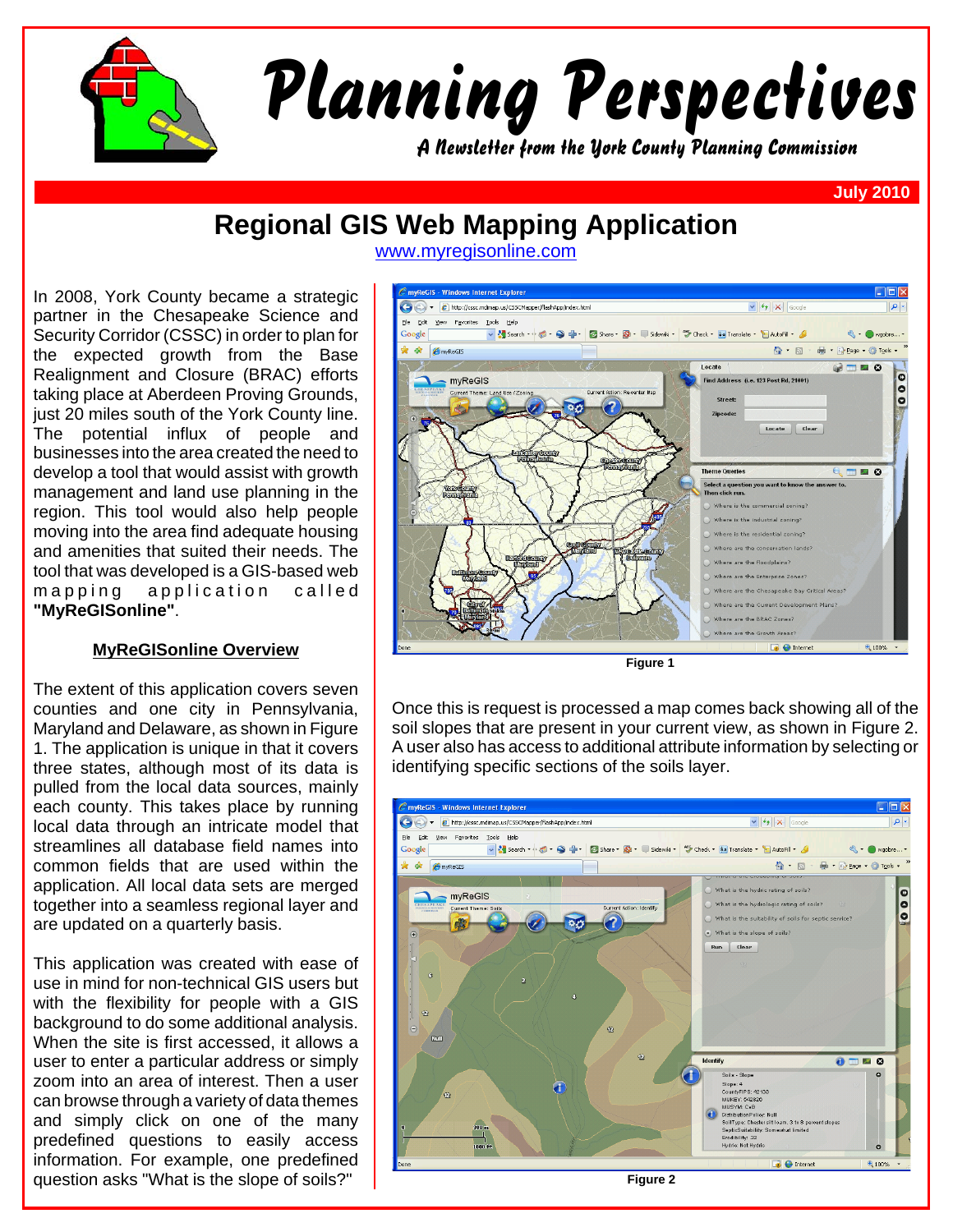

## **Regional GIS Web Mapping Application**

In 2008, York County became a strategic partner in the Chesapeake Science and Security Corridor (CSSC) in order to plan for the expected growth from the Base Realignment and Closure (BRAC) efforts taking place at Aberdeen Proving Grounds, just 20 miles south of the York County line. The potential influx of people and businesses into the area created the need to develop a tool that would assist with growth management and land use planning in the region. This tool would also help people moving into the area find adequate housing and amenities that suited their needs. The tool that was developed is a GIS-based web mapping application called **"MyReGISonline"**.

## **MyReGISonline Overview**

The extent of this application covers seven counties and one city in Pennsylvania, Maryland and Delaware, as shown in Figure 1. The application is unique in that it covers three states, although most of its data is pulled from the local data sources, mainly each county. This takes place by running local data through an intricate model that streamlines all database field names into common fields that are used within the application. All local data sets are merged together into a seamless regional layer and are updated on a quarterly basis.

This application was created with ease of use in mind for non-technical GIS users but with the flexibility for people with a GIS background to do some additional analysis. When the site is first accessed, it allows a user to enter a particular address or simply zoom into an area of interest. Then a user can browse through a variety of data themes and simply click on one of the many predefined questions to easily access information. For example, one predefined question asks "What is the slope of soils?"

www.myregisonline.com



**Figure 1**

Once this is request is processed a map comes back showing all of the soil slopes that are present in your current view, as shown in Figure 2. A user also has access to additional attribute information by selecting or identifying specific sections of the soils layer.